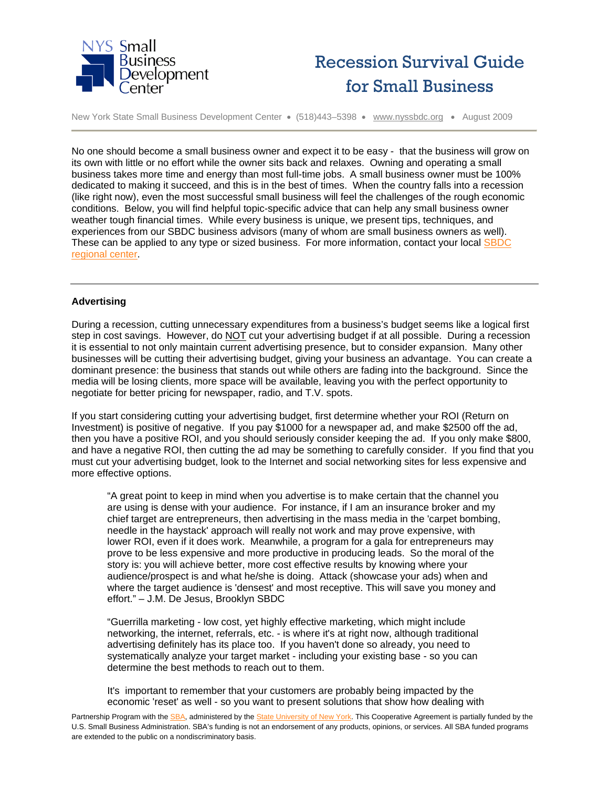



No one should become a small business owner and expect it to be easy - that the business will grow on its own with little or no effort while the owner sits back and relaxes. Owning and operating a small business takes more time and energy than most full-time jobs. A small business owner must be 100% dedicated to making it succeed, and this is in the best of times. When the country falls into a recession (like right now), even the most successful small business will feel the challenges of the rough economic conditions. Below, you will find helpful topic-specific advice that can help any small business owner weather tough financial times. While every business is unique, we present tips, techniques, and experiences from our SBDC business advisors (many of whom are small business owners as well). These can be applied to any type or sized business. For more information, contact your local [SBDC](http://www.nyssbdc.org/locations/locations.html)  [regional center.](http://www.nyssbdc.org/locations/locations.html)

# **Advertising**

During a recession, cutting unnecessary expenditures from a business's budget seems like a logical first step in cost savings. However, do NOT cut your advertising budget if at all possible. During a recession it is essential to not only maintain current advertising presence, but to consider expansion. Many other businesses will be cutting their advertising budget, giving your business an advantage. You can create a dominant presence: the business that stands out while others are fading into the background. Since the media will be losing clients, more space will be available, leaving you with the perfect opportunity to negotiate for better pricing for newspaper, radio, and T.V. spots.

If you start considering cutting your advertising budget, first determine whether your ROI (Return on Investment) is positive of negative. If you pay \$1000 for a newspaper ad, and make \$2500 off the ad, then you have a positive ROI, and you should seriously consider keeping the ad. If you only make \$800, and have a negative ROI, then cutting the ad may be something to carefully consider. If you find that you must cut your advertising budget, look to the Internet and social networking sites for less expensive and more effective options.

"A great point to keep in mind when you advertise is to make certain that the channel you are using is dense with your audience. For instance, if I am an insurance broker and my chief target are entrepreneurs, then advertising in the mass media in the 'carpet bombing, needle in the haystack' approach will really not work and may prove expensive, with lower ROI, even if it does work. Meanwhile, a program for a gala for entrepreneurs may prove to be less expensive and more productive in producing leads. So the moral of the story is: you will achieve better, more cost effective results by knowing where your audience/prospect is and what he/she is doing. Attack (showcase your ads) when and where the target audience is 'densest' and most receptive. This will save you money and effort." – J.M. De Jesus, Brooklyn SBDC

"Guerrilla marketing - low cost, yet highly effective marketing, which might include networking, the internet, referrals, etc. - is where it's at right now, although traditional advertising definitely has its place too. If you haven't done so already, you need to systematically analyze your target market - including your existing base - so you can determine the best methods to reach out to them.

It's important to remember that your customers are probably being impacted by the economic 'reset' as well - so you want to present solutions that show how dealing with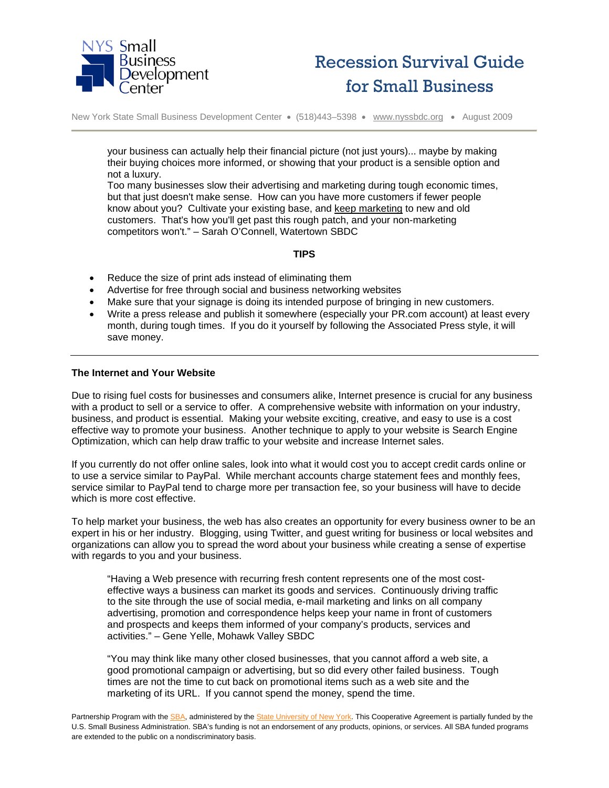



your business can actually help their financial picture (not just yours)... maybe by making their buying choices more informed, or showing that your product is a sensible option and not a luxury.

Too many businesses slow their advertising and marketing during tough economic times, but that just doesn't make sense. How can you have more customers if fewer people know about you? Cultivate your existing base, and keep marketing to new and old customers. That's how you'll get past this rough patch, and your non-marketing competitors won't." – Sarah O'Connell, Watertown SBDC

# **TIPS**

- Reduce the size of print ads instead of eliminating them
- Advertise for free through social and business networking websites
- Make sure that your signage is doing its intended purpose of bringing in new customers.
- Write a press release and publish it somewhere (especially your PR.com account) at least every month, during tough times. If you do it yourself by following the Associated Press style, it will save money.

## **The Internet and Your Website**

Due to rising fuel costs for businesses and consumers alike, Internet presence is crucial for any business with a product to sell or a service to offer. A comprehensive website with information on your industry, business, and product is essential. Making your website exciting, creative, and easy to use is a cost effective way to promote your business. Another technique to apply to your website is Search Engine Optimization, which can help draw traffic to your website and increase Internet sales.

If you currently do not offer online sales, look into what it would cost you to accept credit cards online or to use a service similar to PayPal. While merchant accounts charge statement fees and monthly fees, service similar to PayPal tend to charge more per transaction fee, so your business will have to decide which is more cost effective.

To help market your business, the web has also creates an opportunity for every business owner to be an expert in his or her industry. Blogging, using Twitter, and guest writing for business or local websites and organizations can allow you to spread the word about your business while creating a sense of expertise with regards to you and your business.

"Having a Web presence with recurring fresh content represents one of the most costeffective ways a business can market its goods and services. Continuously driving traffic to the site through the use of social media, e-mail marketing and links on all company advertising, promotion and correspondence helps keep your name in front of customers and prospects and keeps them informed of your company's products, services and activities." – Gene Yelle, Mohawk Valley SBDC

"You may think like many other closed businesses, that you cannot afford a web site, a good promotional campaign or advertising, but so did every other failed business. Tough times are not the time to cut back on promotional items such as a web site and the marketing of its URL. If you cannot spend the money, spend the time.

Partnership Program with th[e SBA,](http://www.sba.gov/) administered by the [State University of New York.](http://www.suny.edu/) This Cooperative Agreement is partially funded by the U.S. Small Business Administration. SBA's funding is not an endorsement of any products, opinions, or services. All SBA funded programs are extended to the public on a nondiscriminatory basis.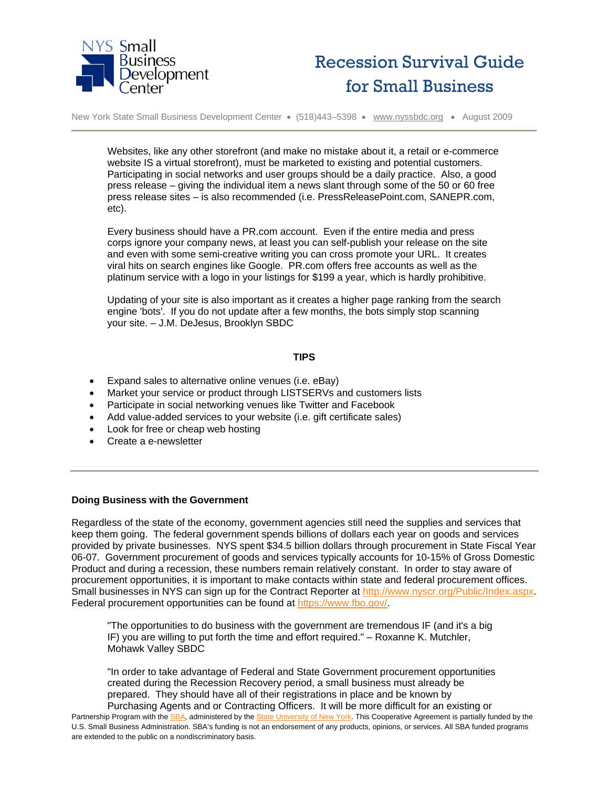



Websites, like any other storefront (and make no mistake about it, a retail or e-commerce website IS a virtual storefront), must be marketed to existing and potential customers. Participating in social networks and user groups should be a daily practice. Also, a good press release – giving the individual item a news slant through some of the 50 or 60 free press release sites – is also recommended (i.e. PressReleasePoint.com, SANEPR.com, etc).

Every business should have a PR.com account. Even if the entire media and press corps ignore your company news, at least you can self-publish your release on the site and even with some semi-creative writing you can cross promote your URL. It creates viral hits on search engines like Google. PR.com offers free accounts as well as the platinum service with a logo in your listings for \$199 a year, which is hardly prohibitive.

Updating of your site is also important as it creates a higher page ranking from the search engine 'bots'. If you do not update after a few months, the bots simply stop scanning your site. – J.M. DeJesus, Brooklyn SBDC

## **TIPS**

- Expand sales to alternative online venues (i.e. eBay)
- Market your service or product through LISTSERVs and customers lists
- Participate in social networking venues like Twitter and Facebook
- Add value-added services to your website (i.e. gift certificate sales)
- Look for free or cheap web hosting
- Create a e-newsletter

#### **Doing Business with the Government**

Regardless of the state of the economy, government agencies still need the supplies and services that keep them going. The federal government spends billions of dollars each year on goods and services provided by private businesses. NYS spent \$34.5 billion dollars through procurement in State Fiscal Year 06-07. Government procurement of goods and services typically accounts for 10-15% of Gross Domestic Product and during a recession, these numbers remain relatively constant. In order to stay aware of procurement opportunities, it is important to make contacts within state and federal procurement offices. Small businesses in NYS can sign up for the Contract Reporter at [http://www.nyscr.org/Public/Index.aspx.](http://www.nyscr.org/Public/Index.aspx) Federal procurement opportunities can be found at [https://www.fbo.gov/.](https://www.fbo.gov/)

"The opportunities to do business with the government are tremendous IF (and it's a big IF) you are willing to put forth the time and effort required." – Roxanne K. Mutchler, Mohawk Valley SBDC

"In order to take advantage of Federal and State Government procurement opportunities created during the Recession Recovery period, a small business must already be prepared. They should have all of their registrations in place and be known by

Partnership Program with th[e SBA,](http://www.sba.gov/) administered by the [State University of New York.](http://www.suny.edu/) This Cooperative Agreement is partially funded by the U.S. Small Business Administration. SBA's funding is not an endorsement of any products, opinions, or services. All SBA funded programs are extended to the public on a nondiscriminatory basis. Purchasing Agents and or Contracting Officers. It will be more difficult for an existing or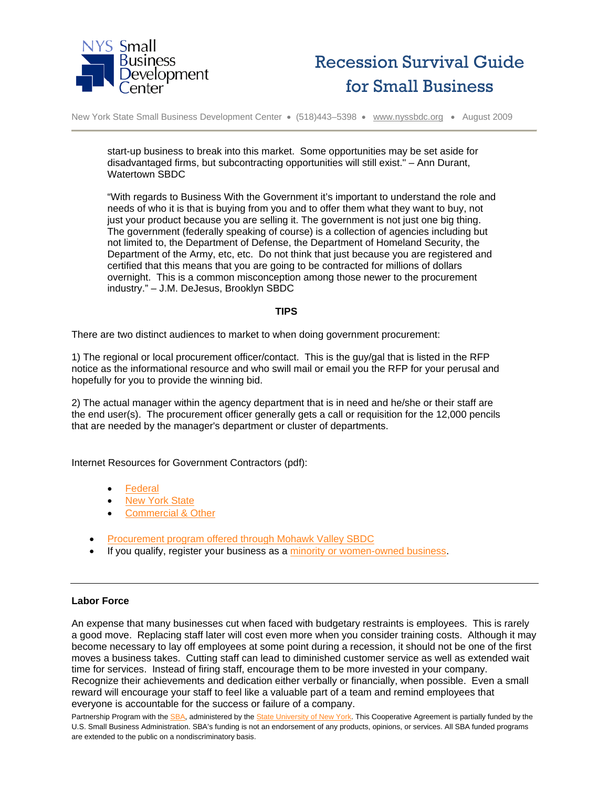



start-up business to break into this market. Some opportunities may be set aside for disadvantaged firms, but subcontracting opportunities will still exist." – Ann Durant, Watertown SBDC

"With regards to Business With the Government it's important to understand the role and needs of who it is that is buying from you and to offer them what they want to buy, not just your product because you are selling it. The government is not just one big thing. The government (federally speaking of course) is a collection of agencies including but not limited to, the Department of Defense, the Department of Homeland Security, the Department of the Army, etc, etc. Do not think that just because you are registered and certified that this means that you are going to be contracted for millions of dollars overnight. This is a common misconception among those newer to the procurement industry." – J.M. DeJesus, Brooklyn SBDC

## **TIPS**

There are two distinct audiences to market to when doing government procurement:

1) The regional or local procurement officer/contact. This is the guy/gal that is listed in the RFP notice as the informational resource and who swill mail or email you the RFP for your perusal and hopefully for you to provide the winning bid.

2) The actual manager within the agency department that is in need and he/she or their staff are the end user(s). The procurement officer generally gets a call or requisition for the 12,000 pencils that are needed by the manager's department or cluster of departments.

Internet Resources for Government Contractors (pdf):

- [Federal](http://www.nyssbdc.org/services/procurement/Procurement-federal.pdf)
- [New York State](http://www.nyssbdc.org/services/procurement/Procurement-nys.pdf)
- [Commercial & Other](http://www.nyssbdc.org/services/procurement/Procurement-commercial.pdf)
- [Procurement program offered through Mohawk Valley SBDC](http://www.nyssbdc.org/News/PDFs/procurement.pdf)
- If you qualify, register your business as a [minority or women-owned business.](http://nylovesmwbe.ny.gov/)

#### **Labor Force**

An expense that many businesses cut when faced with budgetary restraints is employees. This is rarely a good move. Replacing staff later will cost even more when you consider training costs. Although it may become necessary to lay off employees at some point during a recession, it should not be one of the first moves a business takes. Cutting staff can lead to diminished customer service as well as extended wait time for services. Instead of firing staff, encourage them to be more invested in your company. Recognize their achievements and dedication either verbally or financially, when possible. Even a small reward will encourage your staff to feel like a valuable part of a team and remind employees that everyone is accountable for the success or failure of a company.

Partnership Program with th[e SBA,](http://www.sba.gov/) administered by the [State University of New York.](http://www.suny.edu/) This Cooperative Agreement is partially funded by the U.S. Small Business Administration. SBA's funding is not an endorsement of any products, opinions, or services. All SBA funded programs are extended to the public on a nondiscriminatory basis.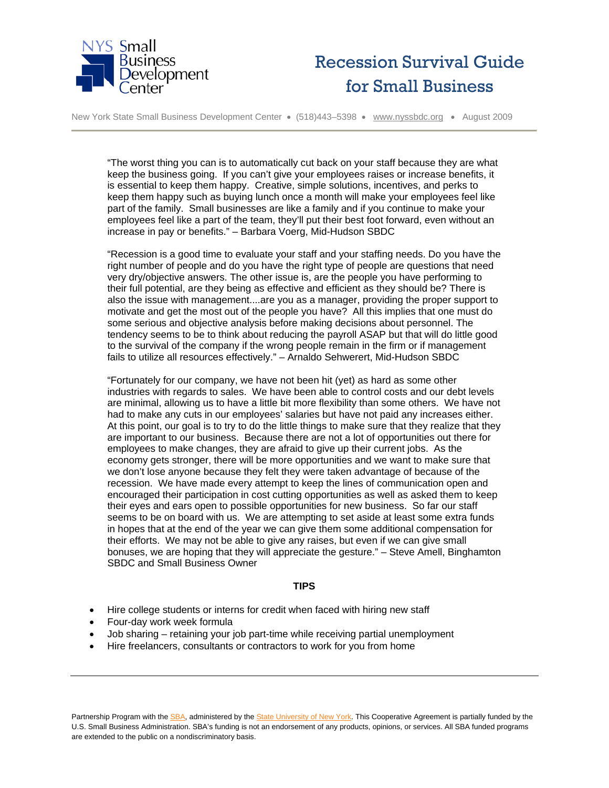



"The worst thing you can is to automatically cut back on your staff because they are what keep the business going. If you can't give your employees raises or increase benefits, it is essential to keep them happy. Creative, simple solutions, incentives, and perks to keep them happy such as buying lunch once a month will make your employees feel like part of the family. Small businesses are like a family and if you continue to make your employees feel like a part of the team, they'll put their best foot forward, even without an increase in pay or benefits." – Barbara Voerg, Mid-Hudson SBDC

"Recession is a good time to evaluate your staff and your staffing needs. Do you have the right number of people and do you have the right type of people are questions that need very dry/objective answers. The other issue is, are the people you have performing to their full potential, are they being as effective and efficient as they should be? There is also the issue with management....are you as a manager, providing the proper support to motivate and get the most out of the people you have? All this implies that one must do some serious and objective analysis before making decisions about personnel. The tendency seems to be to think about reducing the payroll ASAP but that will do little good to the survival of the company if the wrong people remain in the firm or if management fails to utilize all resources effectively." – Arnaldo Sehwerert, Mid-Hudson SBDC

"Fortunately for our company, we have not been hit (yet) as hard as some other industries with regards to sales. We have been able to control costs and our debt levels are minimal, allowing us to have a little bit more flexibility than some others. We have not had to make any cuts in our employees' salaries but have not paid any increases either. At this point, our goal is to try to do the little things to make sure that they realize that they are important to our business. Because there are not a lot of opportunities out there for employees to make changes, they are afraid to give up their current jobs. As the economy gets stronger, there will be more opportunities and we want to make sure that we don't lose anyone because they felt they were taken advantage of because of the recession. We have made every attempt to keep the lines of communication open and encouraged their participation in cost cutting opportunities as well as asked them to keep their eyes and ears open to possible opportunities for new business. So far our staff seems to be on board with us. We are attempting to set aside at least some extra funds in hopes that at the end of the year we can give them some additional compensation for their efforts. We may not be able to give any raises, but even if we can give small bonuses, we are hoping that they will appreciate the gesture." – Steve Amell, Binghamton SBDC and Small Business Owner

## **TIPS**

- Hire college students or interns for credit when faced with hiring new staff
- Four-day work week formula
- Job sharing retaining your job part-time while receiving partial unemployment
- Hire freelancers, consultants or contractors to work for you from home

Partnership Program with th[e SBA,](http://www.sba.gov/) administered by the [State University of New York.](http://www.suny.edu/) This Cooperative Agreement is partially funded by the U.S. Small Business Administration. SBA's funding is not an endorsement of any products, opinions, or services. All SBA funded programs are extended to the public on a nondiscriminatory basis.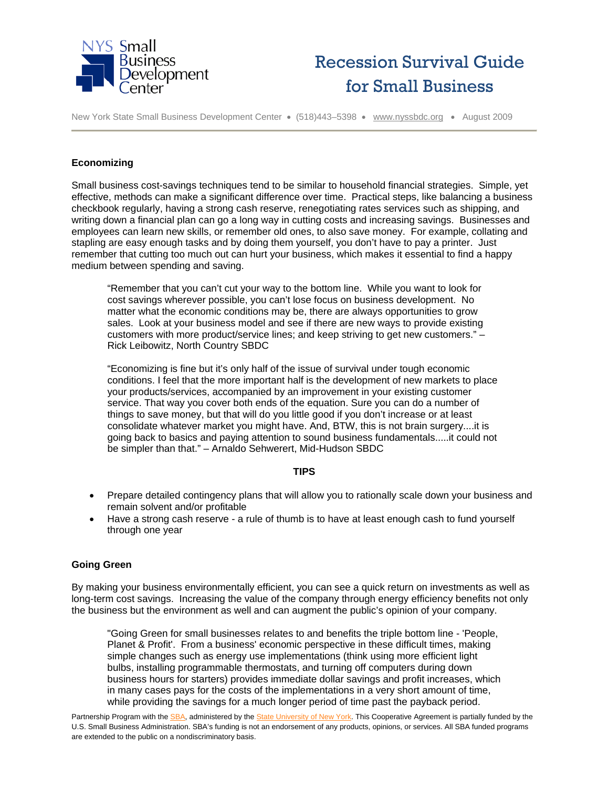



New York State Small Business Development Center • (518)443–5398 • [www.nyssbdc.org](http://www.nyssbdc.org/) • August 2009

## **Economizing**

Small business cost-savings techniques tend to be similar to household financial strategies. Simple, yet effective, methods can make a significant difference over time. Practical steps, like balancing a business checkbook regularly, having a strong cash reserve, renegotiating rates services such as shipping, and writing down a financial plan can go a long way in cutting costs and increasing savings. Businesses and employees can learn new skills, or remember old ones, to also save money. For example, collating and stapling are easy enough tasks and by doing them yourself, you don't have to pay a printer. Just remember that cutting too much out can hurt your business, which makes it essential to find a happy medium between spending and saving.

"Remember that you can't cut your way to the bottom line. While you want to look for cost savings wherever possible, you can't lose focus on business development. No matter what the economic conditions may be, there are always opportunities to grow sales. Look at your business model and see if there are new ways to provide existing customers with more product/service lines; and keep striving to get new customers." – Rick Leibowitz, North Country SBDC

"Economizing is fine but it's only half of the issue of survival under tough economic conditions. I feel that the more important half is the development of new markets to place your products/services, accompanied by an improvement in your existing customer service. That way you cover both ends of the equation. Sure you can do a number of things to save money, but that will do you little good if you don't increase or at least consolidate whatever market you might have. And, BTW, this is not brain surgery....it is going back to basics and paying attention to sound business fundamentals.....it could not be simpler than that." – Arnaldo Sehwerert, Mid-Hudson SBDC

#### **TIPS**

- Prepare detailed contingency plans that will allow you to rationally scale down your business and remain solvent and/or profitable
- Have a strong cash reserve a rule of thumb is to have at least enough cash to fund yourself through one year

# **Going Green**

By making your business environmentally efficient, you can see a quick return on investments as well as long-term cost savings. Increasing the value of the company through energy efficiency benefits not only the business but the environment as well and can augment the public's opinion of your company.

"Going Green for small businesses relates to and benefits the triple bottom line - 'People, Planet & Profit'. From a business' economic perspective in these difficult times, making simple changes such as energy use implementations (think using more efficient light bulbs, installing programmable thermostats, and turning off computers during down business hours for starters) provides immediate dollar savings and profit increases, which in many cases pays for the costs of the implementations in a very short amount of time, while providing the savings for a much longer period of time past the payback period.